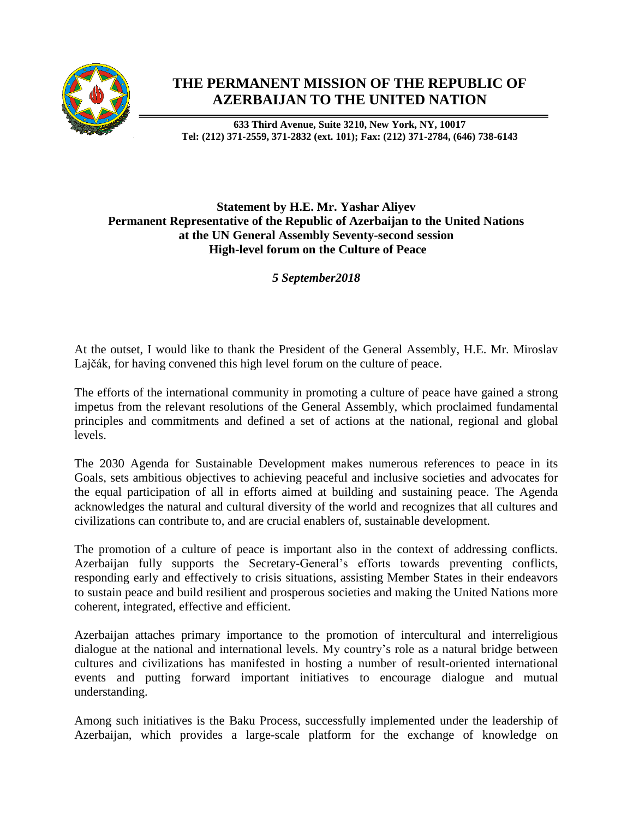

## **THE PERMANENT MISSION OF THE REPUBLIC OF AZERBAIJAN TO THE UNITED NATION**

**633 Third Avenue, Suite 3210, New York, NY, 10017 Tel: (212) 371-2559, 371-2832 (ext. 101); Fax: (212) 371-2784, (646) 738-6143**

## **Statement by H.E. Mr. Yashar Aliyev Permanent Representative of the Republic of Azerbaijan to the United Nations at the UN General Assembly Seventy-second session High-level forum on the Culture of Peace**

*5 September2018*

At the outset, I would like to thank the President of the General Assembly, H.E. Mr. Miroslav Lajčák, for having convened this high level forum on the culture of peace.

The efforts of the international community in promoting a culture of peace have gained a strong impetus from the relevant resolutions of the General Assembly, which proclaimed fundamental principles and commitments and defined a set of actions at the national, regional and global levels.

The 2030 Agenda for Sustainable Development makes numerous references to peace in its Goals, sets ambitious objectives to achieving peaceful and inclusive societies and advocates for the equal participation of all in efforts aimed at building and sustaining peace. The Agenda acknowledges the natural and cultural diversity of the world and recognizes that all cultures and civilizations can contribute to, and are crucial enablers of, sustainable development.

The promotion of a culture of peace is important also in the context of addressing conflicts. Azerbaijan fully supports the Secretary-General's efforts towards preventing conflicts, responding early and effectively to crisis situations, assisting Member States in their endeavors to sustain peace and build resilient and prosperous societies and making the United Nations more coherent, integrated, effective and efficient.

Azerbaijan attaches primary importance to the promotion of intercultural and interreligious dialogue at the national and international levels. My country's role as a natural bridge between cultures and civilizations has manifested in hosting a number of result-oriented international events and putting forward important initiatives to encourage dialogue and mutual understanding.

Among such initiatives is the Baku Process, successfully implemented under the leadership of Azerbaijan, which provides a large-scale platform for the exchange of knowledge on